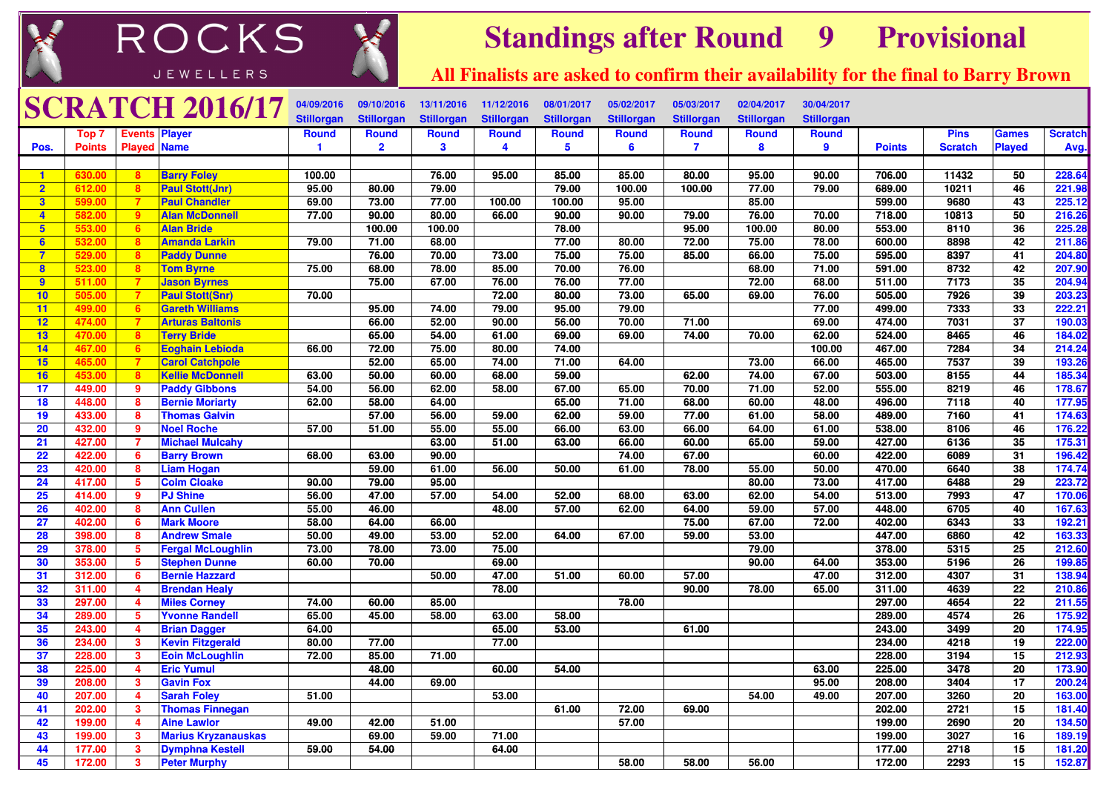



## **Standings after Round <sup>9</sup> Provisional**

**All Finalists are asked to confirm their availability for the final to Barry Brown**

|                         |               |                         | <b>SCRATCH 2016/17</b>     | 04/09/2016        | 09/10/2016        | 13/11/2016        | 11/12/2016        | 08/01/2017        | 05/02/2017        | 05/03/2017        | 02/04/2017        | 30/04/2017        |               |                |                 |                |
|-------------------------|---------------|-------------------------|----------------------------|-------------------|-------------------|-------------------|-------------------|-------------------|-------------------|-------------------|-------------------|-------------------|---------------|----------------|-----------------|----------------|
|                         |               |                         |                            | <b>Stillorgan</b> | <b>Stillorgan</b> | <b>Stillorgan</b> | <b>Stillorgan</b> | <b>Stillorgan</b> | <b>Stillorgan</b> | <b>Stillorgan</b> | <b>Stillorgan</b> | <b>Stillorgan</b> |               |                |                 |                |
|                         | Top 7         | <b>Events Player</b>    |                            | <b>Round</b>      | <b>Round</b>      | <b>Round</b>      | <b>Round</b>      | <b>Round</b>      | <b>Round</b>      | <b>Round</b>      | <b>Round</b>      | <b>Round</b>      |               | <b>Pins</b>    | <b>Games</b>    | <b>Scratch</b> |
| Pos.                    | <b>Points</b> | <b>Played Name</b>      |                            | $\mathbf{1}$      | $\overline{2}$    | 3                 | $\overline{4}$    | 5                 | 6                 | $\overline{7}$    | 8                 | 9                 | <b>Points</b> | <b>Scratch</b> | <b>Played</b>   | Avg.           |
|                         |               |                         |                            |                   |                   |                   |                   |                   |                   |                   |                   |                   |               |                |                 |                |
| $\blacksquare$          | 630.00        | 8                       | <b>Barry Foley</b>         | 100.00            |                   | 76.00             | 95.00             | 85.00             | 85.00             | 80.00             | 95.00             | 90.00             | 706.00        | 11432          | 50              | 228.64         |
| $\overline{2}$          | 612.00        | 8                       | <b>Paul Stott(Jnr)</b>     | 95.00             | 80.00             | 79.00             |                   | 79.00             | 100.00            | 100.00            | 77.00             | 79.00             | 689.00        | 10211          | 46              | 221.98         |
| $\overline{\mathbf{3}}$ | 599.00        | $\overline{7}$          | <b>Paul Chandler</b>       | 69.00             | 73.00             | 77.00             | 100.00            | 100.00            | 95.00             |                   | 85.00             |                   | 599.00        | 9680           | 43              | 225.12         |
| $\overline{4}$          | 582.00        | -9                      | <b>Alan McDonnell</b>      | 77.00             | 90.00             | 80.00             | 66.00             | 90.00             | 90.00             | 79.00             | 76.00             | 70.00             | 718.00        | 10813          | 50              | 216.26         |
| $5\phantom{1}$          | 553.00        | 6                       | <b>Alan Bride</b>          |                   | 100.00            | 100.00            |                   | 78.00             |                   | 95.00             | 100.00            | 80.00             | 553.00        | 8110           | 36              | 225.28         |
| 6                       | 532.00        | 8                       | <b>Amanda Larkin</b>       | 79.00             | 71.00             | 68.00             |                   | 77.00             | 80.00             | 72.00             | 75.00             | 78.00             | 600.00        | 8898           | 42              | 211.86         |
| $\overline{7}$          | 529.00        | 8                       | <b>Paddy Dunne</b>         |                   | 76.00             | 70.00             | 73.00             | 75.00             | 75.00             | 85.00             | 66.00             | 75.00             | 595.00        | 8397           | 41              | 204.80         |
| 8                       | 523.00        | 8                       | <b>Tom Byrne</b>           | 75.00             | 68.00             | 78.00             | 85.00             | 70.00             | 76.00             |                   | 68.00             | 71.00             | 591.00        | 8732           | 42              | 207.90         |
| 9                       | 511.00        | $\overline{7}$          | <b>Jason Byrnes</b>        |                   | 75.00             | 67.00             | 76.00             | 76.00             | 77.00             |                   | 72.00             | 68.00             | 511.00        | 7173           | 35              | 204.94         |
| 10                      | 505.00        | $\overline{7}$          | <b>Paul Stott(Snr)</b>     | 70.00             |                   |                   | 72.00             | 80.00             | 73.00             | 65.00             | 69.00             | 76.00             | 505.00        | 7926           | 39              | 203.23         |
| 11                      | 499.00        | 6                       | <b>Gareth Williams</b>     |                   | 95.00             | 74.00             | 79.00             | 95.00             | 79.00             |                   |                   | 77.00             | 499.00        | 7333           | 33              | 222.21         |
| 12                      | 474.00        | $\overline{7}$          | <b>Arturas Baltonis</b>    |                   | 66.00             | 52.00             | 90.00             | 56.00             | 70.00             | 71.00             |                   | 69.00             | 474.00        | 7031           | $\overline{37}$ | 190.03         |
| 13                      | 470.00        | 8                       | <b>Terry Bride</b>         |                   | 65.00             | 54.00             | 61.00             | 69.00             | 69.00             | 74.00             | 70.00             | 62.00             | 524.00        | 8465           | 46              | 184.02         |
| 14                      | 467.00        | 6                       | <b>Eoghain Lebioda</b>     | 66.00             | 72.00             | 75.00             | 80.00             | 74.00             |                   |                   |                   | 100.00            | 467.00        | 7284           | 34              | 214.24         |
| 15                      | 465.00        | $\overline{7}$          | <b>Carol Catchpole</b>     |                   | 52.00             | 65.00             | 74.00             | 71.00             | 64.00             |                   | 73.00             | 66.00             | 465.00        | 7537           | 39              | 193.26         |
| 16                      | 453.00        | -8                      | <b>Kellie McDonnell</b>    | 63.00             | 50.00             | 60.00             | 68.00             | 59.00             |                   | 62.00             | 74.00             | 67.00             | 503.00        | 8155           | 44              | 185.34         |
| 17                      | 449.00        | 9                       | <b>Paddy Gibbons</b>       | 54.00             | 56.00             | 62.00             | 58.00             | 67.00             | 65.00             | 70.00             | 71.00             | 52.00             | 555.00        | 8219           | 46              | 178.67         |
| 18                      | 448.00        | 8                       | <b>Bernie Moriarty</b>     | 62.00             | 58.00             | 64.00             |                   | 65.00             | 71.00             | 68.00             | 60.00             | 48.00             | 496.00        | 7118           | 40              | 177.95         |
| 19                      | 433.00        | 8                       | <b>Thomas Galvin</b>       |                   | 57.00             | 56.00             | 59.00             | 62.00             | 59.00             | 77.00             | 61.00             | 58.00             | 489.00        | 7160           | 41              | 174.63         |
| 20                      | 432.00        | 9                       | <b>Noel Roche</b>          | 57.00             | 51.00             | 55.00             | 55.00             | 66.00             | 63.00             | 66.00             | 64.00             | 61.00             | 538.00        | 8106           | 46              | 176.22         |
| 21                      | 427.00        | $\overline{7}$          | <b>Michael Mulcahy</b>     |                   |                   | 63.00             | 51.00             | 63.00             | 66.00             | 60.00             | 65.00             | 59.00             | 427.00        | 6136           | 35              | 175.31         |
| 22                      | 422.00        | 6                       | <b>Barry Brown</b>         | 68.00             | 63.00             | 90.00             |                   |                   | 74.00             | 67.00             |                   | 60.00             | 422.00        | 6089           | 31              | 196.42         |
| 23                      | 420.00        | 8                       | <b>Liam Hogan</b>          |                   | 59.00             | 61.00             | 56.00             | 50.00             | 61.00             | 78.00             | 55.00             | 50.00             | 470.00        | 6640           | 38              | 174.74         |
| 24                      | 417.00        | 5                       | <b>Colm Cloake</b>         | 90.00             | 79.00             | 95.00             |                   |                   |                   |                   | 80.00             | 73.00             | 417.00        | 6488           | 29              | 223.72         |
| 25                      | 414.00        | $\overline{9}$          | <b>PJ Shine</b>            | 56.00             | 47.00             | 57.00             | 54.00             | 52.00             | 68.00             | 63.00             | 62.00             | 54.00             | 513.00        | 7993           | 47              | 170.06         |
| 26                      | 402.00        | 8                       | <b>Ann Cullen</b>          | 55.00             | 46.00             |                   | 48.00             | 57.00             | 62.00             | 64.00             | 59.00             | 57.00             | 448.00        | 6705           | 40              | 167.63         |
| 27                      | 402.00        | 6                       | <b>Mark Moore</b>          | 58.00             | 64.00             | 66.00             |                   |                   |                   | 75.00             | 67.00             | 72.00             | 402.00        | 6343           | 33              | 192.21         |
| 28                      | 398.00        | $\bf{8}$                | <b>Andrew Smale</b>        | 50.00             | 49.00             | 53.00             | 52.00             | 64.00             | 67.00             | 59.00             | 53.00             |                   | 447.00        | 6860           | 42              | 163.33         |
| 29                      | 378.00        | -5                      | <b>Fergal McLoughlin</b>   | 73.00             | 78.00             | 73.00             | 75.00             |                   |                   |                   | 79.00             |                   | 378.00        | 5315           | 25              | 212.60         |
| 30                      | 353.00        | $5\phantom{.0}$         | <b>Stephen Dunne</b>       | 60.00             | 70.00             |                   | 69.00             |                   |                   |                   | 90.00             | 64.00             | 353.00        | 5196           | $\overline{26}$ | 199.85         |
| 31                      | 312.00        | 6                       | <b>Bernie Hazzard</b>      |                   |                   | 50.00             | 47.00             | 51.00             | 60.00             | 57.00             |                   | 47.00             | 312.00        | 4307           | 31              | 138.94         |
| 32                      | 311.00        | $\overline{\mathbf{4}}$ | <b>Brendan Healy</b>       |                   |                   |                   | 78.00             |                   |                   | 90.00             | 78.00             | 65.00             | 311.00        | 4639           | $\overline{22}$ | 210.86         |
| 33                      | 297.00        | $\overline{4}$          | <b>Miles Corney</b>        | 74.00             | 60.00             | 85.00             |                   |                   | 78.00             |                   |                   |                   | 297.00        | 4654           | $\overline{22}$ | 211.55         |
| 34                      | 289.00        | $5^{\circ}$             | <b>Yvonne Randell</b>      | 65.00             | 45.00             | 58.00             | 63.00             | 58.00             |                   |                   |                   |                   | 289.00        | 4574           | 26              | 175.92         |
| 35                      | 243.00        | $\overline{\mathbf{4}}$ | <b>Brian Dagger</b>        | 64.00             |                   |                   | 65.00             | 53.00             |                   | 61.00             |                   |                   | 243.00        | 3499           | 20              | 174.95         |
| 36                      | 234.00        | $\mathbf{3}$            | <b>Kevin Fitzgerald</b>    | 80.00             | 77.00             |                   | 77.00             |                   |                   |                   |                   |                   | 234.00        | 4218           | 19              | 222.00         |
| 37                      | 228.00        | $\mathbf{3}$            | <b>Eoin McLoughlin</b>     | 72.00             | 85.00             | 71.00             |                   |                   |                   |                   |                   |                   | 228.00        | 3194           | 15              | 212.93         |
| 38                      | 225.00        | $\overline{4}$          | <b>Eric Yumul</b>          |                   | 48.00             |                   | 60.00             | 54.00             |                   |                   |                   | 63.00             | 225.00        | 3478           | 20              | 173.90         |
| 39                      | 208.00        | $\mathbf{3}$            | <b>Gavin Fox</b>           |                   | 44.00             | 69.00             |                   |                   |                   |                   |                   | 95.00             | 208.00        | 3404           | 17              | 200.24         |
| 40                      | 207.00        | $\overline{4}$          | <b>Sarah Foley</b>         | 51.00             |                   |                   | 53.00             |                   |                   |                   | 54.00             | 49.00             | 207.00        | 3260           | 20              | 163.00         |
| 41                      | 202.00        | $\mathbf{3}$            | <b>Thomas Finnegan</b>     |                   |                   |                   |                   | 61.00             | 72.00             | 69.00             |                   |                   | 202.00        | 2721           | 15              | 181.40         |
| 42                      | 199.00        | $\overline{4}$          | <b>Aine Lawlor</b>         | 49.00             | 42.00             | 51.00             |                   |                   | 57.00             |                   |                   |                   | 199.00        | 2690           | 20              | 134.50         |
| 43                      | 199.00        | $\mathbf{3}$            | <b>Marius Kryzanauskas</b> |                   | 69.00             | 59.00             | 71.00             |                   |                   |                   |                   |                   | 199.00        | 3027           | 16              | 189.19         |
| 44                      | 177.00        | $\mathbf{3}$            | <b>Dymphna Kestell</b>     | 59.00             | 54.00             |                   | 64.00             |                   |                   |                   |                   |                   | 177.00        | 2718           | 15              | 181.20         |
| 45                      | 172.00        | $\mathbf{3}$            | <b>Peter Murphy</b>        |                   |                   |                   |                   |                   | 58.00             | 58.00             | 56.00             |                   | 172.00        | 2293           | 15              | 152.87         |